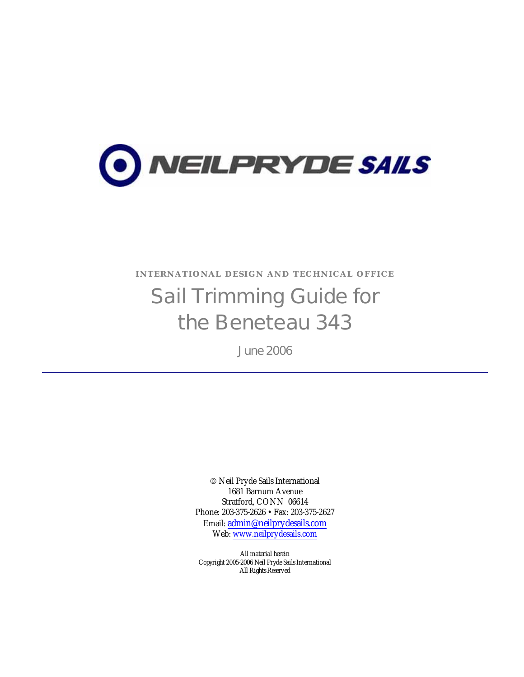

INTERNATIONAL DESIGN AND TECHNICAL OFFICE

# Sail Trimming Guide for the Beneteau 343

June 2006

© Neil Pryde Sails International 1681 Barnum Avenue Stratford, CONN 06614 Phone: 203-375-2626 • Fax: 203-375-2627 Email: admin@neilprydesails.com Web: www.neilprydesails.com

*All material herein Copyright 2005-2006 Neil Pryde Sails International All Rights Reserved*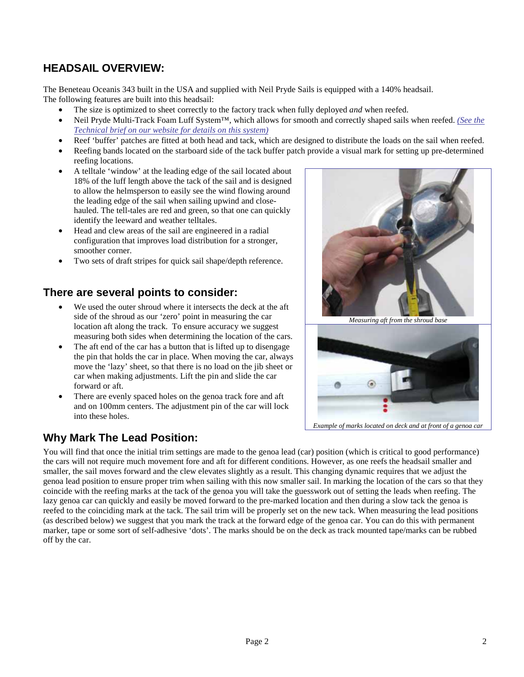## **HEADSAIL OVERVIEW:**

The Beneteau Oceanis 343 built in the USA and supplied with Neil Pryde Sails is equipped with a 140% headsail. The following features are built into this headsail:

- The size is optimized to sheet correctly to the factory track when fully deployed *and* when reefed.
- Neil Pryde Multi-Track Foam Luff System™, which allows for smooth and correctly shaped sails when reefed. *(See the Technical brief on our website for details on this system)*
- Reef 'buffer' patches are fitted at both head and tack, which are designed to distribute the loads on the sail when reefed.
- Reefing bands located on the starboard side of the tack buffer patch provide a visual mark for setting up pre-determined reefing locations.
- A telltale 'window' at the leading edge of the sail located about 18% of the luff length above the tack of the sail and is designed to allow the helmsperson to easily see the wind flowing around the leading edge of the sail when sailing upwind and closehauled. The tell-tales are red and green, so that one can quickly identify the leeward and weather telltales.
- Head and clew areas of the sail are engineered in a radial configuration that improves load distribution for a stronger, smoother corner.
- Two sets of draft stripes for quick sail shape/depth reference.

## **There are several points to consider:**

- We used the outer shroud where it intersects the deck at the aft side of the shroud as our 'zero' point in measuring the car location aft along the track. To ensure accuracy we suggest measuring both sides when determining the location of the cars.
- The aft end of the car has a button that is lifted up to disengage the pin that holds the car in place. When moving the car, always move the 'lazy' sheet, so that there is no load on the jib sheet or car when making adjustments. Lift the pin and slide the car forward or aft.
- There are evenly spaced holes on the genoa track fore and aft and on 100mm centers. The adjustment pin of the car will lock into these holes.

## **Why Mark The Lead Position:**



*Measuring aft from the shroud base*



*Example of marks located on deck and at front of a genoa car*

You will find that once the initial trim settings are made to the genoa lead (car) position (which is critical to good performance) the cars will not require much movement fore and aft for different conditions. However, as one reefs the headsail smaller and smaller, the sail moves forward and the clew elevates slightly as a result. This changing dynamic requires that we adjust the genoa lead position to ensure proper trim when sailing with this now smaller sail. In marking the location of the cars so that they coincide with the reefing marks at the tack of the genoa you will take the guesswork out of setting the leads when reefing. The lazy genoa car can quickly and easily be moved forward to the pre-marked location and then during a slow tack the genoa is reefed to the coinciding mark at the tack. The sail trim will be properly set on the new tack. When measuring the lead positions (as described below) we suggest that you mark the track at the forward edge of the genoa car. You can do this with permanent marker, tape or some sort of self-adhesive 'dots'. The marks should be on the deck as track mounted tape/marks can be rubbed off by the car.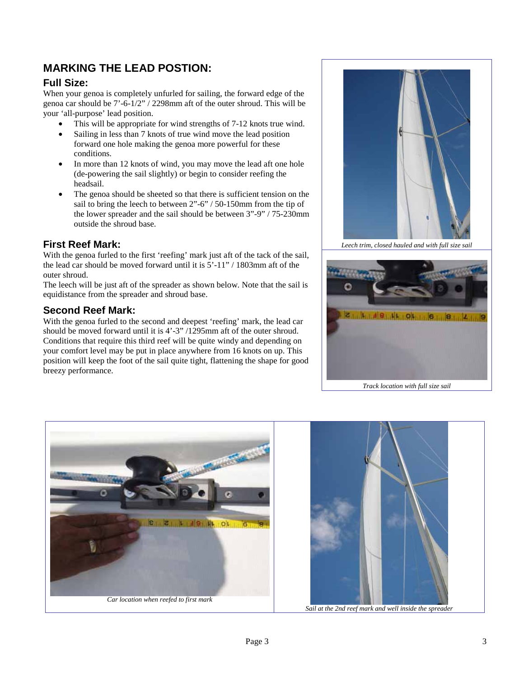## **MARKING THE LEAD POSTION:**

#### **Full Size:**

When your genoa is completely unfurled for sailing, the forward edge of the genoa car should be 7'-6-1/2" / 2298mm aft of the outer shroud. This will be your 'all-purpose' lead position.

- This will be appropriate for wind strengths of 7-12 knots true wind.
- Sailing in less than 7 knots of true wind move the lead position
- forward one hole making the genoa more powerful for these conditions.
- In more than 12 knots of wind, you may move the lead aft one hole (de-powering the sail slightly) or begin to consider reefing the headsail.
- The genoa should be sheeted so that there is sufficient tension on the sail to bring the leech to between 2"-6" / 50-150mm from the tip of the lower spreader and the sail should be between 3"-9" / 75-230mm outside the shroud base.

#### **First Reef Mark:**

With the genoa furled to the first 'reefing' mark just aft of the tack of the sail, the lead car should be moved forward until it is 5'-11" / 1803mm aft of the outer shroud.

The leech will be just aft of the spreader as shown below. Note that the sail is equidistance from the spreader and shroud base.

#### **Second Reef Mark:**

With the genoa furled to the second and deepest 'reefing' mark, the lead car should be moved forward until it is 4'-3" /1295mm aft of the outer shroud. Conditions that require this third reef will be quite windy and depending on your comfort level may be put in place anywhere from 16 knots on up. This position will keep the foot of the sail quite tight, flattening the shape for good breezy performance.



*Leech trim, closed hauled and with full size sail* 





*Sail at the 2nd reef mark and well inside the spreader*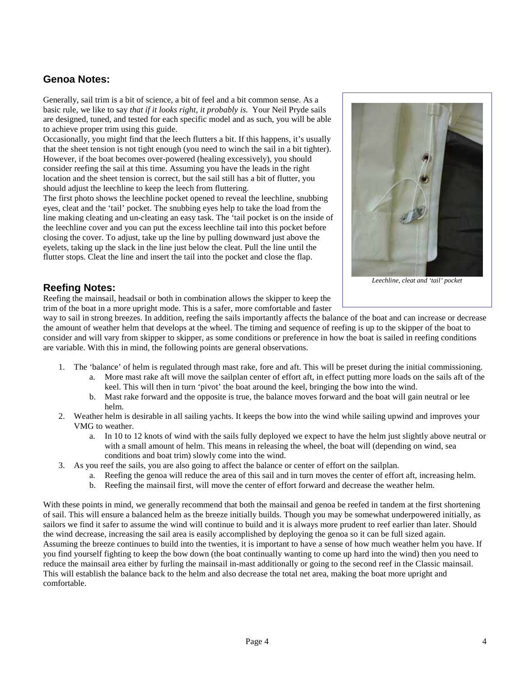#### **Genoa Notes:**

Generally, sail trim is a bit of science, a bit of feel and a bit common sense. As a basic rule, we like to say *that if it looks right, it probably is.* Your Neil Pryde sails are designed, tuned, and tested for each specific model and as such, you will be able to achieve proper trim using this guide.

Occasionally, you might find that the leech flutters a bit. If this happens, it's usually that the sheet tension is not tight enough (you need to winch the sail in a bit tighter). However, if the boat becomes over-powered (healing excessively), you should consider reefing the sail at this time. Assuming you have the leads in the right location and the sheet tension is correct, but the sail still has a bit of flutter, you should adjust the leechline to keep the leech from fluttering.

The first photo shows the leechline pocket opened to reveal the leechline, snubbing eyes, cleat and the 'tail' pocket. The snubbing eyes help to take the load from the line making cleating and un-cleating an easy task. The 'tail pocket is on the inside of the leechline cover and you can put the excess leechline tail into this pocket before closing the cover. To adjust, take up the line by pulling downward just above the eyelets, taking up the slack in the line just below the cleat. Pull the line until the flutter stops. Cleat the line and insert the tail into the pocket and close the flap.



*Leechline, cleat and 'tail' pocket*

#### **Reefing Notes:**

Reefing the mainsail, headsail or both in combination allows the skipper to keep the trim of the boat in a more upright mode. This is a safer, more comfortable and faster

way to sail in strong breezes. In addition, reefing the sails importantly affects the balance of the boat and can increase or decrease the amount of weather helm that develops at the wheel. The timing and sequence of reefing is up to the skipper of the boat to consider and will vary from skipper to skipper, as some conditions or preference in how the boat is sailed in reefing conditions are variable. With this in mind, the following points are general observations.

- 1. The 'balance' of helm is regulated through mast rake, fore and aft. This will be preset during the initial commissioning.
	- a. More mast rake aft will move the sailplan center of effort aft, in effect putting more loads on the sails aft of the keel. This will then in turn 'pivot' the boat around the keel, bringing the bow into the wind.
	- b. Mast rake forward and the opposite is true, the balance moves forward and the boat will gain neutral or lee helm.
- 2. Weather helm is desirable in all sailing yachts. It keeps the bow into the wind while sailing upwind and improves your VMG to weather.
	- a. In 10 to 12 knots of wind with the sails fully deployed we expect to have the helm just slightly above neutral or with a small amount of helm. This means in releasing the wheel, the boat will (depending on wind, sea conditions and boat trim) slowly come into the wind.
- 3. As you reef the sails, you are also going to affect the balance or center of effort on the sailplan.
	- a. Reefing the genoa will reduce the area of this sail and in turn moves the center of effort aft, increasing helm.
	- b. Reefing the mainsail first, will move the center of effort forward and decrease the weather helm.

With these points in mind, we generally recommend that both the mainsail and genoa be reefed in tandem at the first shortening of sail. This will ensure a balanced helm as the breeze initially builds. Though you may be somewhat underpowered initially, as sailors we find it safer to assume the wind will continue to build and it is always more prudent to reef earlier than later. Should the wind decrease, increasing the sail area is easily accomplished by deploying the genoa so it can be full sized again. Assuming the breeze continues to build into the twenties, it is important to have a sense of how much weather helm you have. If you find yourself fighting to keep the bow down (the boat continually wanting to come up hard into the wind) then you need to reduce the mainsail area either by furling the mainsail in-mast additionally or going to the second reef in the Classic mainsail. This will establish the balance back to the helm and also decrease the total net area, making the boat more upright and comfortable.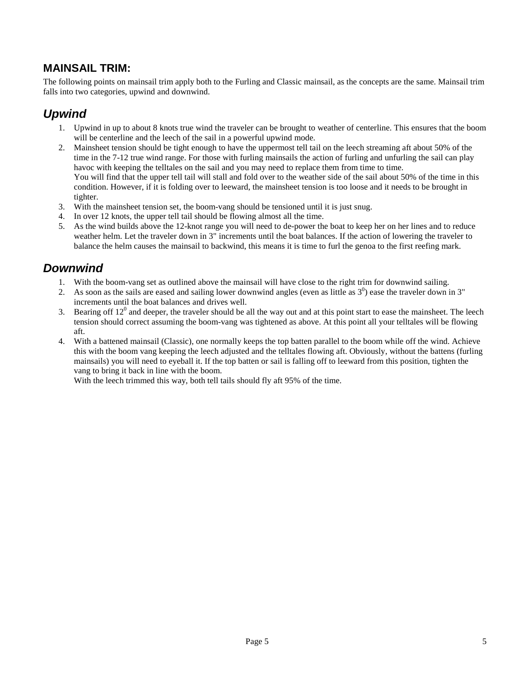## **MAINSAIL TRIM:**

The following points on mainsail trim apply both to the Furling and Classic mainsail, as the concepts are the same. Mainsail trim falls into two categories, upwind and downwind.

# *Upwind*

- 1. Upwind in up to about 8 knots true wind the traveler can be brought to weather of centerline. This ensures that the boom will be centerline and the leech of the sail in a powerful upwind mode.
- 2. Mainsheet tension should be tight enough to have the uppermost tell tail on the leech streaming aft about 50% of the time in the 7-12 true wind range. For those with furling mainsails the action of furling and unfurling the sail can play havoc with keeping the telltales on the sail and you may need to replace them from time to time. You will find that the upper tell tail will stall and fold over to the weather side of the sail about 50% of the time in this condition. However, if it is folding over to leeward, the mainsheet tension is too loose and it needs to be brought in tighter.
- 3. With the mainsheet tension set, the boom-vang should be tensioned until it is just snug.
- 4. In over 12 knots, the upper tell tail should be flowing almost all the time.
- 5. As the wind builds above the 12-knot range you will need to de-power the boat to keep her on her lines and to reduce weather helm. Let the traveler down in 3" increments until the boat balances. If the action of lowering the traveler to balance the helm causes the mainsail to backwind, this means it is time to furl the genoa to the first reefing mark.

# *Downwind*

- 1. With the boom-vang set as outlined above the mainsail will have close to the right trim for downwind sailing.
- 2. As soon as the sails are eased and sailing lower downwind angles (even as little as  $3<sup>0</sup>$ ) ease the traveler down in  $3<sup>n</sup>$ increments until the boat balances and drives well.
- 3. Bearing off  $12^0$  and deeper, the traveler should be all the way out and at this point start to ease the mainsheet. The leech tension should correct assuming the boom-vang was tightened as above. At this point all your telltales will be flowing aft.
- 4. With a battened mainsail (Classic), one normally keeps the top batten parallel to the boom while off the wind. Achieve this with the boom vang keeping the leech adjusted and the telltales flowing aft. Obviously, without the battens (furling mainsails) you will need to eyeball it. If the top batten or sail is falling off to leeward from this position, tighten the vang to bring it back in line with the boom.

With the leech trimmed this way, both tell tails should fly aft 95% of the time.